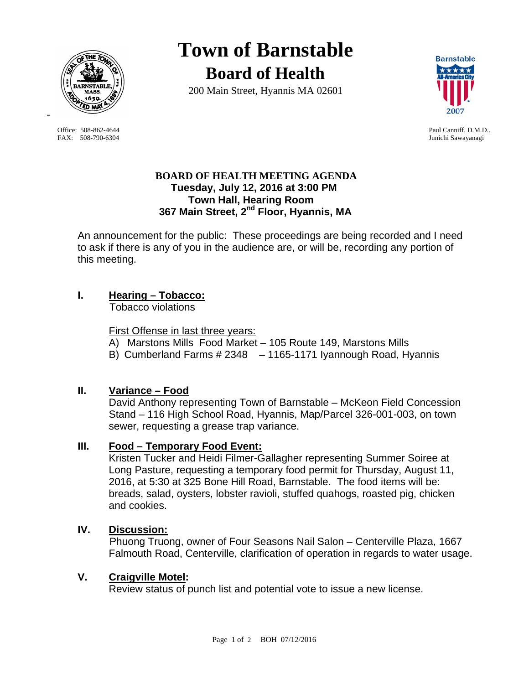

Office: 508-862-4644 Paul Canniff, D.M.D.. FAX: 508-790-6304 Junichi Sawayanagi

-

**Town of Barnstable Board of Health**

200 Main Street, Hyannis MA 02601



## **BOARD OF HEALTH MEETING AGENDA Tuesday, July 12, 2016 at 3:00 PM Town Hall, Hearing Room 367 Main Street, 2nd Floor, Hyannis, MA**

An announcement for the public: These proceedings are being recorded and I need to ask if there is any of you in the audience are, or will be, recording any portion of this meeting.

# **I. Hearing – Tobacco:**

Tobacco violations

## First Offense in last three years:

- A) Marstons Mills Food Market 105 Route 149, Marstons Mills
- B) Cumberland Farms # 2348 1165-1171 Iyannough Road, Hyannis

## **II. Variance – Food**

David Anthony representing Town of Barnstable – McKeon Field Concession Stand – 116 High School Road, Hyannis, Map/Parcel 326-001-003, on town sewer, requesting a grease trap variance.

## **III. Food – Temporary Food Event:**

Kristen Tucker and Heidi Filmer-Gallagher representing Summer Soiree at Long Pasture, requesting a temporary food permit for Thursday, August 11, 2016, at 5:30 at 325 Bone Hill Road, Barnstable. The food items will be: breads, salad, oysters, lobster ravioli, stuffed quahogs, roasted pig, chicken and cookies.

### **IV. Discussion:**

Phuong Truong, owner of Four Seasons Nail Salon – Centerville Plaza, 1667 Falmouth Road, Centerville, clarification of operation in regards to water usage.

#### **V. Craigville Motel:**

Review status of punch list and potential vote to issue a new license.